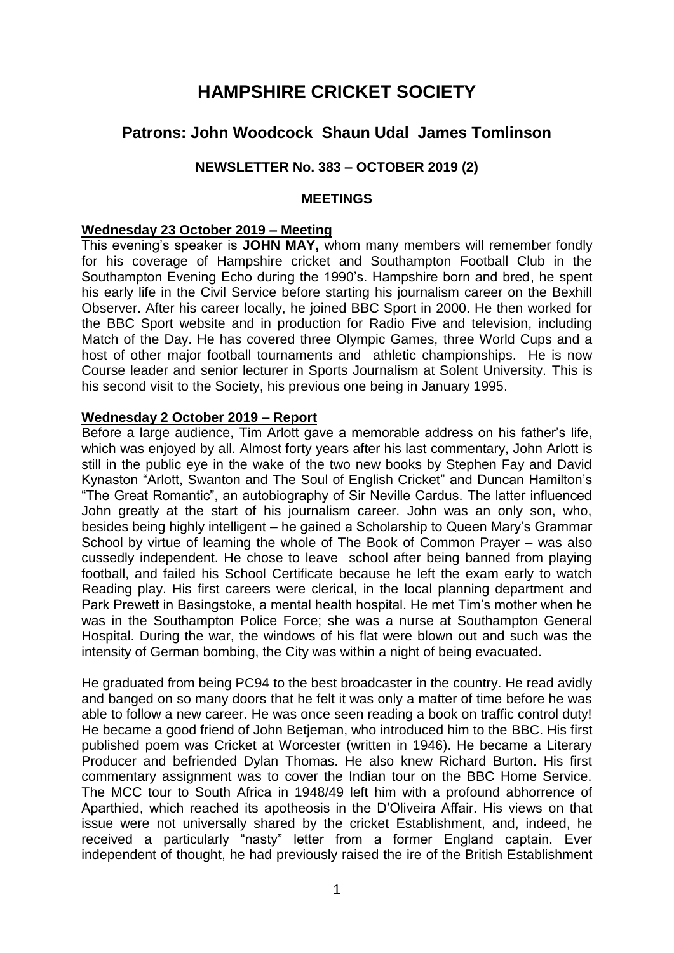# **HAMPSHIRE CRICKET SOCIETY**

## **Patrons: John Woodcock Shaun Udal James Tomlinson**

### **NEWSLETTER No. 383 – OCTOBER 2019 (2)**

#### **MEETINGS**

#### **Wednesday 23 October 2019 – Meeting**

This evening's speaker is **JOHN MAY,** whom many members will remember fondly for his coverage of Hampshire cricket and Southampton Football Club in the Southampton Evening Echo during the 1990's. Hampshire born and bred, he spent his early life in the Civil Service before starting his journalism career on the Bexhill Observer. After his career locally, he joined BBC Sport in 2000. He then worked for the BBC Sport website and in production for Radio Five and television, including Match of the Day. He has covered three Olympic Games, three World Cups and a host of other major football tournaments and athletic championships. He is now Course leader and senior lecturer in Sports Journalism at Solent University. This is his second visit to the Society, his previous one being in January 1995.

#### **Wednesday 2 October 2019 – Report**

Before a large audience, Tim Arlott gave a memorable address on his father's life, which was enjoyed by all. Almost forty years after his last commentary, John Arlott is still in the public eye in the wake of the two new books by Stephen Fay and David Kynaston "Arlott, Swanton and The Soul of English Cricket" and Duncan Hamilton's "The Great Romantic", an autobiography of Sir Neville Cardus. The latter influenced John greatly at the start of his journalism career. John was an only son, who, besides being highly intelligent – he gained a Scholarship to Queen Mary's Grammar School by virtue of learning the whole of The Book of Common Prayer – was also cussedly independent. He chose to leave school after being banned from playing football, and failed his School Certificate because he left the exam early to watch Reading play. His first careers were clerical, in the local planning department and Park Prewett in Basingstoke, a mental health hospital. He met Tim's mother when he was in the Southampton Police Force; she was a nurse at Southampton General Hospital. During the war, the windows of his flat were blown out and such was the intensity of German bombing, the City was within a night of being evacuated.

He graduated from being PC94 to the best broadcaster in the country. He read avidly and banged on so many doors that he felt it was only a matter of time before he was able to follow a new career. He was once seen reading a book on traffic control duty! He became a good friend of John Betjeman, who introduced him to the BBC. His first published poem was Cricket at Worcester (written in 1946). He became a Literary Producer and befriended Dylan Thomas. He also knew Richard Burton. His first commentary assignment was to cover the Indian tour on the BBC Home Service. The MCC tour to South Africa in 1948/49 left him with a profound abhorrence of Aparthied, which reached its apotheosis in the D'Oliveira Affair. His views on that issue were not universally shared by the cricket Establishment, and, indeed, he received a particularly "nasty" letter from a former England captain. Ever independent of thought, he had previously raised the ire of the British Establishment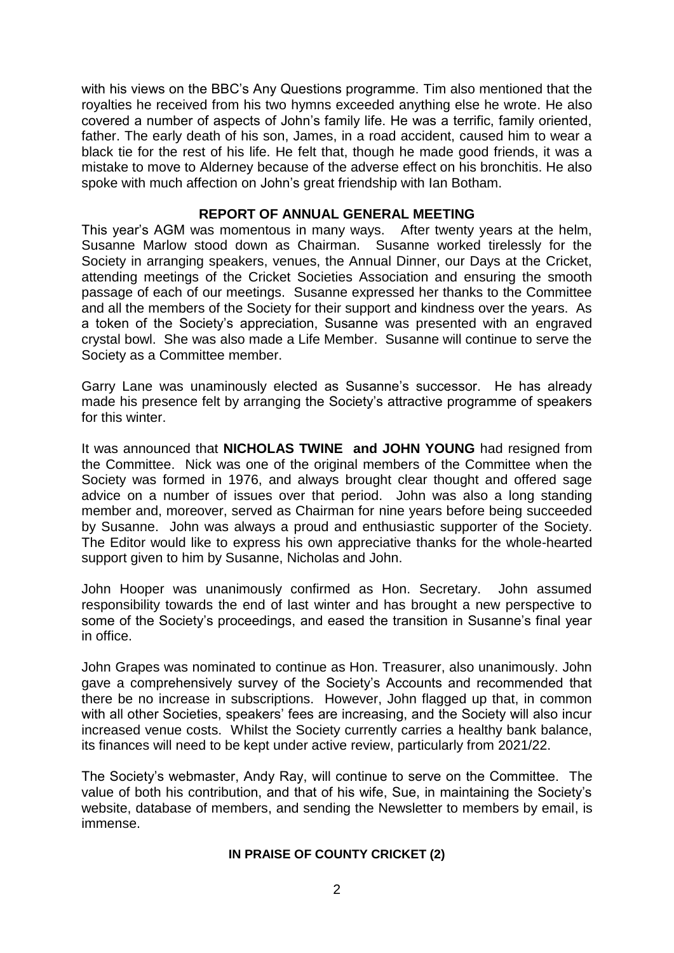with his views on the BBC's Any Questions programme. Tim also mentioned that the royalties he received from his two hymns exceeded anything else he wrote. He also covered a number of aspects of John's family life. He was a terrific, family oriented, father. The early death of his son, James, in a road accident, caused him to wear a black tie for the rest of his life. He felt that, though he made good friends, it was a mistake to move to Alderney because of the adverse effect on his bronchitis. He also spoke with much affection on John's great friendship with Ian Botham.

#### **REPORT OF ANNUAL GENERAL MEETING**

This year's AGM was momentous in many ways. After twenty years at the helm, Susanne Marlow stood down as Chairman. Susanne worked tirelessly for the Society in arranging speakers, venues, the Annual Dinner, our Days at the Cricket, attending meetings of the Cricket Societies Association and ensuring the smooth passage of each of our meetings. Susanne expressed her thanks to the Committee and all the members of the Society for their support and kindness over the years. As a token of the Society's appreciation, Susanne was presented with an engraved crystal bowl. She was also made a Life Member. Susanne will continue to serve the Society as a Committee member.

Garry Lane was unaminously elected as Susanne's successor. He has already made his presence felt by arranging the Society's attractive programme of speakers for this winter.

It was announced that **NICHOLAS TWINE and JOHN YOUNG** had resigned from the Committee. Nick was one of the original members of the Committee when the Society was formed in 1976, and always brought clear thought and offered sage advice on a number of issues over that period. John was also a long standing member and, moreover, served as Chairman for nine years before being succeeded by Susanne. John was always a proud and enthusiastic supporter of the Society. The Editor would like to express his own appreciative thanks for the whole-hearted support given to him by Susanne, Nicholas and John.

John Hooper was unanimously confirmed as Hon. Secretary. John assumed responsibility towards the end of last winter and has brought a new perspective to some of the Society's proceedings, and eased the transition in Susanne's final year in office.

John Grapes was nominated to continue as Hon. Treasurer, also unanimously. John gave a comprehensively survey of the Society's Accounts and recommended that there be no increase in subscriptions. However, John flagged up that, in common with all other Societies, speakers' fees are increasing, and the Society will also incur increased venue costs. Whilst the Society currently carries a healthy bank balance, its finances will need to be kept under active review, particularly from 2021/22.

The Society's webmaster, Andy Ray, will continue to serve on the Committee. The value of both his contribution, and that of his wife, Sue, in maintaining the Society's website, database of members, and sending the Newsletter to members by email, is immense.

#### **IN PRAISE OF COUNTY CRICKET (2)**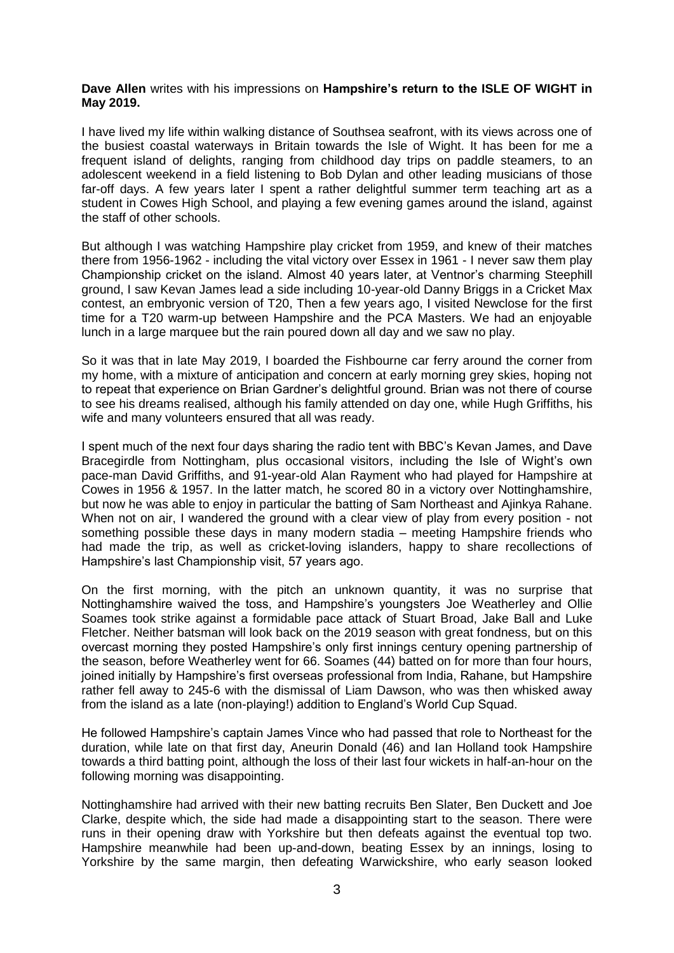#### **Dave Allen** writes with his impressions on **Hampshire's return to the ISLE OF WIGHT in May 2019.**

I have lived my life within walking distance of Southsea seafront, with its views across one of the busiest coastal waterways in Britain towards the Isle of Wight. It has been for me a frequent island of delights, ranging from childhood day trips on paddle steamers, to an adolescent weekend in a field listening to Bob Dylan and other leading musicians of those far-off days. A few years later I spent a rather delightful summer term teaching art as a student in Cowes High School, and playing a few evening games around the island, against the staff of other schools.

But although I was watching Hampshire play cricket from 1959, and knew of their matches there from 1956-1962 - including the vital victory over Essex in 1961 - I never saw them play Championship cricket on the island. Almost 40 years later, at Ventnor's charming Steephill ground, I saw Kevan James lead a side including 10-year-old Danny Briggs in a Cricket Max contest, an embryonic version of T20, Then a few years ago, I visited Newclose for the first time for a T20 warm-up between Hampshire and the PCA Masters. We had an enjoyable lunch in a large marquee but the rain poured down all day and we saw no play.

So it was that in late May 2019, I boarded the Fishbourne car ferry around the corner from my home, with a mixture of anticipation and concern at early morning grey skies, hoping not to repeat that experience on Brian Gardner's delightful ground. Brian was not there of course to see his dreams realised, although his family attended on day one, while Hugh Griffiths, his wife and many volunteers ensured that all was ready.

I spent much of the next four days sharing the radio tent with BBC's Kevan James, and Dave Bracegirdle from Nottingham, plus occasional visitors, including the Isle of Wight's own pace-man David Griffiths, and 91-year-old Alan Rayment who had played for Hampshire at Cowes in 1956 & 1957. In the latter match, he scored 80 in a victory over Nottinghamshire, but now he was able to enjoy in particular the batting of Sam Northeast and Ajinkya Rahane. When not on air, I wandered the ground with a clear view of play from every position - not something possible these days in many modern stadia – meeting Hampshire friends who had made the trip, as well as cricket-loving islanders, happy to share recollections of Hampshire's last Championship visit, 57 years ago.

On the first morning, with the pitch an unknown quantity, it was no surprise that Nottinghamshire waived the toss, and Hampshire's youngsters Joe Weatherley and Ollie Soames took strike against a formidable pace attack of Stuart Broad, Jake Ball and Luke Fletcher. Neither batsman will look back on the 2019 season with great fondness, but on this overcast morning they posted Hampshire's only first innings century opening partnership of the season, before Weatherley went for 66. Soames (44) batted on for more than four hours, joined initially by Hampshire's first overseas professional from India, Rahane, but Hampshire rather fell away to 245-6 with the dismissal of Liam Dawson, who was then whisked away from the island as a late (non-playing!) addition to England's World Cup Squad.

He followed Hampshire's captain James Vince who had passed that role to Northeast for the duration, while late on that first day, Aneurin Donald (46) and Ian Holland took Hampshire towards a third batting point, although the loss of their last four wickets in half-an-hour on the following morning was disappointing.

Nottinghamshire had arrived with their new batting recruits Ben Slater, Ben Duckett and Joe Clarke, despite which, the side had made a disappointing start to the season. There were runs in their opening draw with Yorkshire but then defeats against the eventual top two. Hampshire meanwhile had been up-and-down, beating Essex by an innings, losing to Yorkshire by the same margin, then defeating Warwickshire, who early season looked